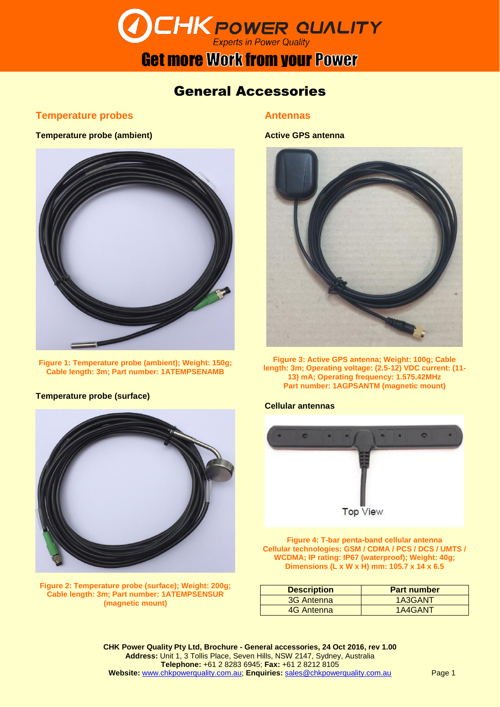# **DCHK POWER QUALITY**

### **Get more Work from your Power**

### General Accessories

#### **Temperature probes**

#### **Temperature probe (ambient)**



**Figure 1: Temperature probe (ambient); Weight: 150g; Cable length: 3m; Part number: 1ATEMPSENAMB**

#### **Temperature probe (surface)**



**Figure 2: Temperature probe (surface); Weight: 200g; Cable length: 3m; Part number: 1ATEMPSENSUR (magnetic mount)**

#### **Antennas**

#### **Active GPS antenna**



**Figure 3: Active GPS antenna; Weight: 100g; Cable length: 3m; Operating voltage: (2.5-12) VDC current: (11- 13) mA; Operating frequency: 1.575.42MHz Part number: 1AGPSANTM (magnetic mount)**

#### **Cellular antennas**



**Figure 4: T-bar penta-band cellular antenna Cellular technologies: GSM / CDMA / PCS / DCS / UMTS / WCDMA; IP rating: IP67 (waterproof); Weight: 40g; Dimensions (L x W x H) mm: 105.7 x 14 x 6.5**

| <b>Description</b> | <b>Part number</b> |
|--------------------|--------------------|
| 3G Antenna         | 1A3GANT            |
| 4G Antenna         | 1A4GANT            |